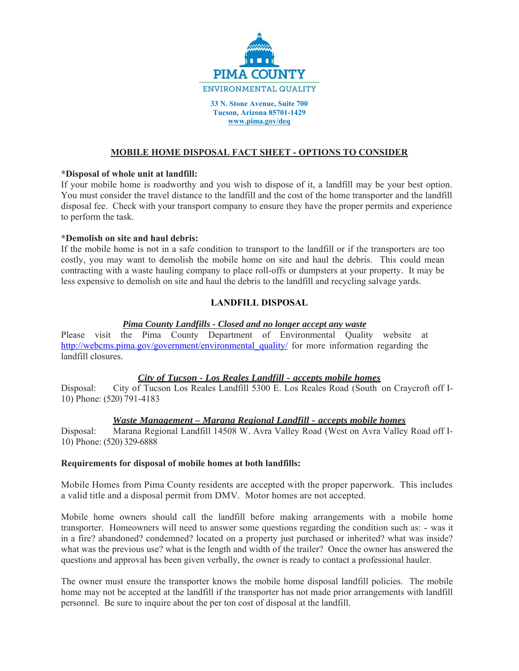

**33 N. Stone Avenue, Suite 700 Tucson, Arizona 85701-1429 www.pima.gov/deq** 

#### **MOBILE HOME DISPOSAL FACT SHEET - OPTIONS TO CONSIDER**

#### **\*Disposal of whole unit at landfill:**

If your mobile home is roadworthy and you wish to dispose of it, a landfill may be your best option. You must consider the travel distance to the landfill and the cost of the home transporter and the landfill disposal fee. Check with your transport company to ensure they have the proper permits and experience to perform the task.

## **\*Demolish on site and haul debris:**

If the mobile home is not in a safe condition to transport to the landfill or if the transporters are too costly, you may want to demolish the mobile home on site and haul the debris. This could mean contracting with a waste hauling company to place roll-offs or dumpsters at your property. It may be less expensive to demolish on site and haul the debris to the landfill and recycling salvage yards.

# **LANDFILL DISPOSAL**

## *Pima County Landfills - Closed and no longer accept any waste*

Please visit the Pima County Department of Environmental Quality website at http://webcms.pima.gov/government/environmental\_quality/ for more information regarding the landfill closures.

## *City of Tucson - Los Reales Landfill - accepts mobile homes*

Disposal: City of Tucson Los Reales Landfill 5300 E. Los Reales Road (South on Craycroft off I-10) Phone: (520) 791-4183

#### *Waste Management – Marana Regional Landfill - accepts mobile homes*

Disposal: Marana Regional Landfill 14508 W. Avra Valley Road (West on Avra Valley Road off I-10) Phone: (520) 329-6888

#### **Requirements for disposal of mobile homes at both landfills:**

Mobile Homes from Pima County residents are accepted with the proper paperwork. This includes a valid title and a disposal permit from DMV. Motor homes are not accepted.

Mobile home owners should call the landfill before making arrangements with a mobile home transporter. Homeowners will need to answer some questions regarding the condition such as: - was it in a fire? abandoned? condemned? located on a property just purchased or inherited? what was inside? what was the previous use? what is the length and width of the trailer? Once the owner has answered the questions and approval has been given verbally, the owner is ready to contact a professional hauler.

The owner must ensure the transporter knows the mobile home disposal landfill policies. The mobile home may not be accepted at the landfill if the transporter has not made prior arrangements with landfill personnel. Be sure to inquire about the per ton cost of disposal at the landfill.